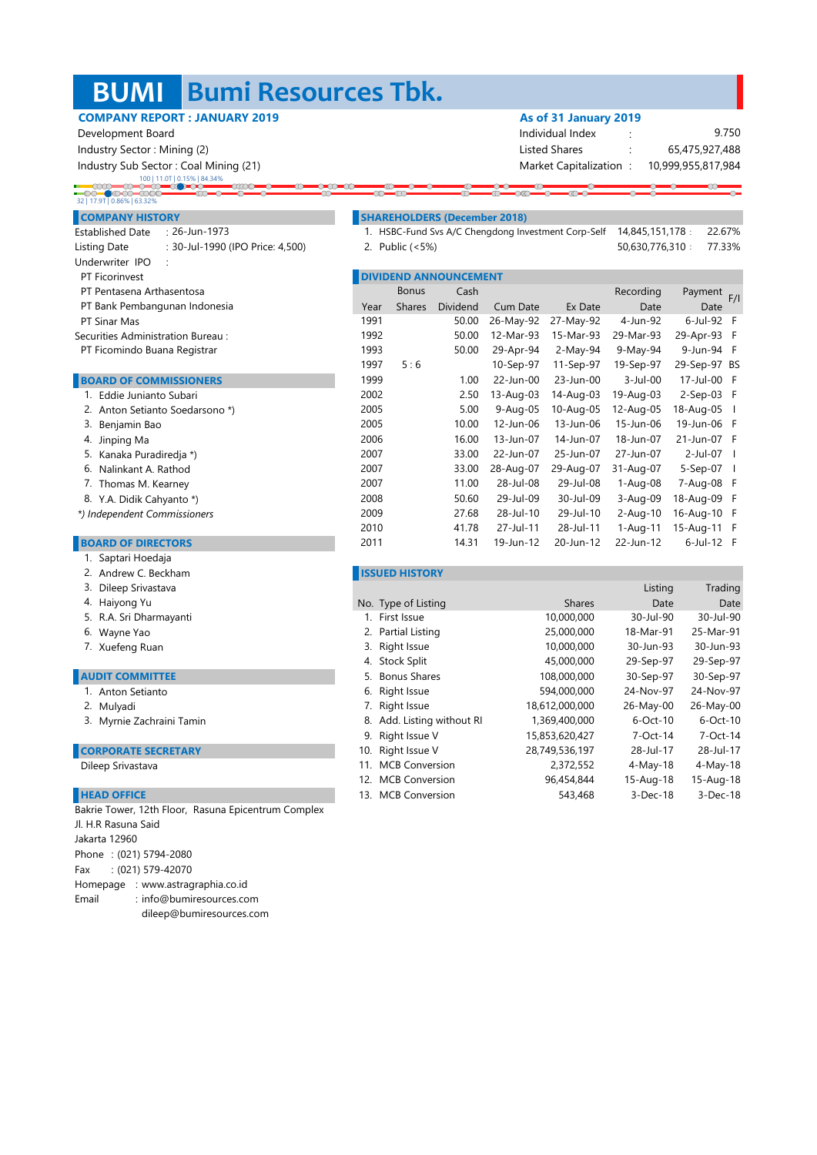### **BUMI Bumi Resources Tbk.**

 $\alpha$ 

**ando** 

### **COMPANY REPORT : JANUARY 2019 As of 31 January 2019**

 Development Board Individual Index : Industry Sector : Mining (2) listed Shares : Mining (2) listed Shares : Listed Shares : Listed Shares : Listed Shares : Listed Shares : Listed Shares : Listed Shares : Listed Shares : Listed Shares : Listed Shares : Listed

Industry Sub Sector : Coal Mining (21) Market Capitalization : Market Capitalization :

## 100 | 11.0T | 0.15% | 84.34%

### 32 | 17.9T | 0.86% | 63.32%

- Underwriter IPO : **PT Ficorinvest** PT Pentasena Arthasentosa Established Date : 26-Jun-1973
- PT Bank Pembangunan Indonesia
- PT Sinar Mas
- Securities Administration Bureau :
- PT Ficomindo Buana Registrar

### **BOARD OF COMMISSIONERS**

| 1. Eddie Junianto Subari        |
|---------------------------------|
| 2. Anton Setianto Soedarsono *) |
| 3. Benjamin Bao                 |
| 4. Jinping Ma                   |
| 5. Kanaka Puradiredja *)        |
| 6. Nalinkant A. Rathod          |
| 7. Thomas M. Kearney            |
| 8. Y.A. Didik Cahyanto *)       |
| *) Independent Commissioners    |
|                                 |
| <b>BOARD OF DIRECTORS</b>       |
|                                 |

### 1. Saptari Hoedaja

- 
- 
- 4. Haiyong Yu

I

- 5. R.A. Sri Dharmayanti
- Wayne Yao 6.
- 7. Xuefeng Ruan

### **AUDIT COMMITTEE**

- 1. Anton Setianto
- 2. Mulyadi
- 3. Myrnie Zachraini Tamin

### **CORPORATE SECRETARY**

Dileep Srivastava

### **HEAD OFFICE**

Phone : (021) 5794-2080 Fax : (021) 579-42070 Homepage : www.astragraphia.co.id Email : info@bumiresources.com dileep@bumiresources.com Bakrie Tower, 12th Floor, Rasuna Epicentrum Complex Jl. H.R Rasuna Said Jakarta 12960

 $\overline{a}$ 

10,999,955,817,984 65,475,927,488 9.750

∞

### **COMPANY HISTORY SHAREHOLDERS (December 2018)**

Established Date : : 1. 22.67% HSBC-Fund Svs A/C Chengdong Investment Corp-Self Listing Date : : 30-Jul-1990 (IPO Price: 4,500) 77.33% 2. Public (<5%) 14,845,151,178 50,630,776,310

 $\overline{\alpha}$ 

|      |               | <b>DIVIDEND ANNOUNCEMENT</b> |           |            |              |             |                          |
|------|---------------|------------------------------|-----------|------------|--------------|-------------|--------------------------|
|      | <b>Bonus</b>  | Cash                         |           |            | Recording    | Payment     | F/                       |
| Year | <b>Shares</b> | Dividend                     | Cum Date  | Ex Date    | Date         | Date        |                          |
| 1991 |               | 50.00                        | 26-May-92 | 27-May-92  | 4-Jun-92     | 6-Jul-92    | F                        |
| 1992 |               | 50.00                        | 12-Mar-93 | 15-Mar-93  | 29-Mar-93    | 29-Apr-93   | F                        |
| 1993 |               | 50.00                        | 29-Apr-94 | $2-May-94$ | 9-May-94     | 9-Jun-94    | -F                       |
| 1997 | 5:6           |                              | 10-Sep-97 | 11-Sep-97  | 19-Sep-97    | 29-Sep-97   | BS                       |
| 1999 |               | 1.00                         | 22-Jun-00 | 23-Jun-00  | $3$ -Jul-00  | 17-Jul-00   | -F                       |
| 2002 |               | 2.50                         | 13-Aug-03 | 14-Aug-03  | 19-Aug-03    | $2-Sep-03$  | -F                       |
| 2005 |               | 5.00                         | 9-Aug-05  | 10-Aug-05  | 12-Aug-05    | 18-Aug-05   | $\overline{\phantom{a}}$ |
| 2005 |               | 10.00                        | 12-Jun-06 | 13-Jun-06  | 15-Jun-06    | 19-Jun-06   | -F                       |
| 2006 |               | 16.00                        | 13-Jun-07 | 14-Jun-07  | 18-Jun-07    | 21-Jun-07   | -F                       |
| 2007 |               | 33.00                        | 22-Jun-07 | 25-Jun-07  | 27-Jun-07    | 2-Jul-07    | -1                       |
| 2007 |               | 33.00                        | 28-Aug-07 | 29-Aug-07  | 31-Aug-07    | 5-Sep-07    | $\overline{1}$           |
| 2007 |               | 11.00                        | 28-Jul-08 | 29-Jul-08  | 1-Aug-08     | 7-Aug-08    | F                        |
| 2008 |               | 50.60                        | 29-Jul-09 | 30-Jul-09  | 3-Aug-09     | 18-Aug-09   | F                        |
| 2009 |               | 27.68                        | 28-Jul-10 | 29-Jul-10  | $2 - Aug-10$ | 16-Aug-10   | F                        |
| 2010 |               | 41.78                        | 27-Jul-11 | 28-Jul-11  | $1-Auq-11$   | 15-Aug-11   | F                        |
| 2011 |               | 14.31                        | 19-Jun-12 | 20-Jun-12  | 22-Jun-12    | $6$ -Jul-12 | F                        |

### andrew C. Beckham **ISSUED HISTORY**

| 3. Dileep Srivastava       |                            |                | Listing     | Trading    |
|----------------------------|----------------------------|----------------|-------------|------------|
| 4. Haiyong Yu              | No. Type of Listing        | <b>Shares</b>  | Date        | Date       |
| 5. R.A. Sri Dharmayanti    | 1. First Issue             | 10,000,000     | 30-Jul-90   | 30-Jul-90  |
| 6. Wayne Yao               | 2. Partial Listing         | 25,000,000     | 18-Mar-91   | 25-Mar-91  |
| 7. Xuefeng Ruan            | 3. Right Issue             | 10,000,000     | 30-Jun-93   | 30-Jun-93  |
|                            | 4. Stock Split             | 45,000,000     | 29-Sep-97   | 29-Sep-97  |
| <b>NUDIT COMMITTEE</b>     | 5. Bonus Shares            | 108,000,000    | 30-Sep-97   | 30-Sep-97  |
| 1. Anton Setianto          | 6. Right Issue             | 594,000,000    | 24-Nov-97   | 24-Nov-97  |
| 2. Mulyadi                 | 7. Right Issue             | 18,612,000,000 | 26-May-00   | 26-May-00  |
| 3. Myrnie Zachraini Tamin  | 8. Add. Listing without RI | 1,369,400,000  | $6$ -Oct-10 | 6-Oct-10   |
|                            | 9. Right Issue V           | 15,853,620,427 | 7-Oct-14    | 7-Oct-14   |
| <b>CORPORATE SECRETARY</b> | 10. Right Issue V          | 28,749,536,197 | 28-Jul-17   | 28-Jul-17  |
| Dileep Srivastava          | 11. MCB Conversion         | 2,372,552      | $4-May-18$  | 4-May-18   |
|                            | 12. MCB Conversion         | 96,454,844     | 15-Aug-18   | 15-Aug-18  |
| <b>HEAD OFFICE</b>         | 13. MCB Conversion         | 543,468        | $3-Dec-18$  | $3-Dec-18$ |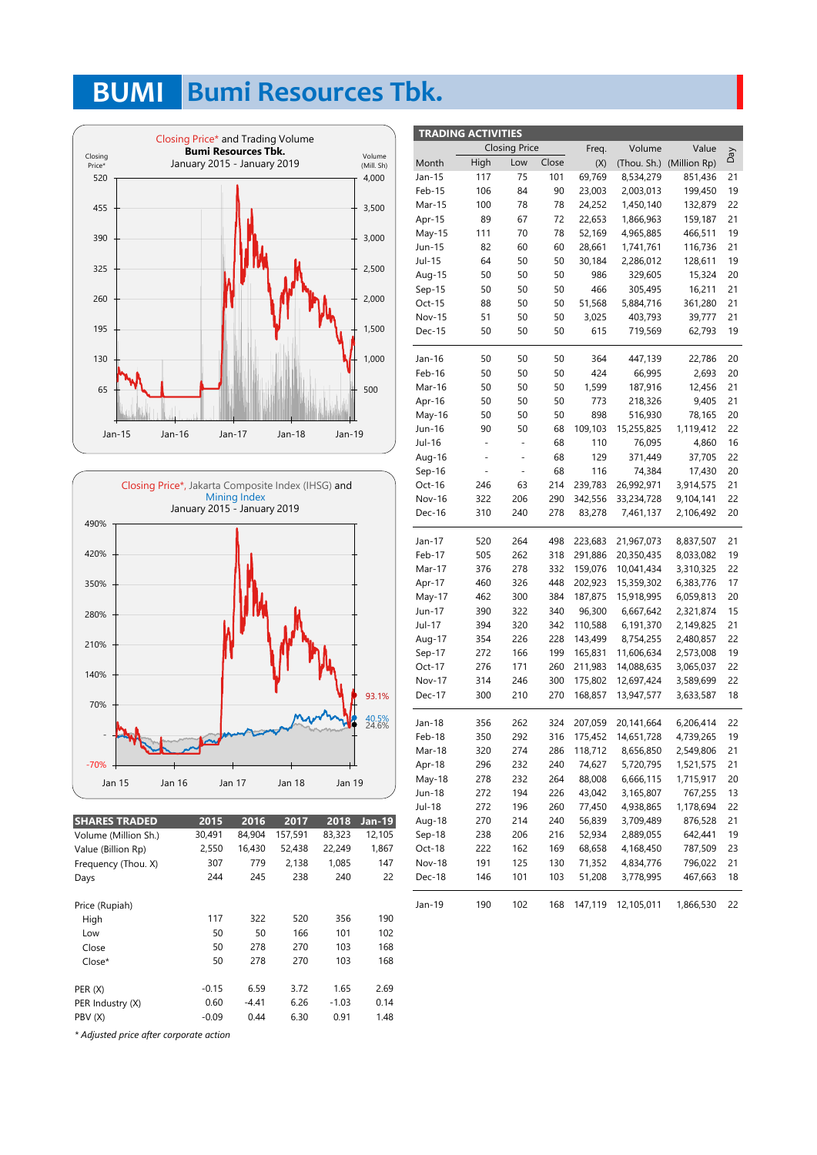## **BUMI Bumi Resources Tbk.**





| <b>SHARES TRADED</b> | 2015    | 2016    | 2017    | 2018    | $Jan-19$ |
|----------------------|---------|---------|---------|---------|----------|
| Volume (Million Sh.) | 30,491  | 84,904  | 157,591 | 83,323  | 12,105   |
| Value (Billion Rp)   | 2,550   | 16,430  | 52,438  | 22,249  | 1,867    |
| Frequency (Thou. X)  | 307     | 779     | 2,138   | 1,085   | 147      |
| Days                 | 244     | 245     | 238     | 240     | 22       |
| Price (Rupiah)       |         |         |         |         |          |
| High                 | 117     | 322     | 520     | 356     | 190      |
| Low                  | 50      | 50      | 166     | 101     | 102      |
| Close                | 50      | 278     | 270     | 103     | 168      |
| Close*               | 50      | 278     | 270     | 103     | 168      |
| PER(X)               | $-0.15$ | 6.59    | 3.72    | 1.65    | 2.69     |
| PER Industry (X)     | 0.60    | $-4.41$ | 6.26    | $-1.03$ | 0.14     |
| PBV (X)              | $-0.09$ | 0.44    | 6.30    | 0.91    | 1.48     |

| <b>TRADING ACTIVITIES</b> |                |                          |       |         |             |              |     |  |  |
|---------------------------|----------------|--------------------------|-------|---------|-------------|--------------|-----|--|--|
|                           |                | <b>Closing Price</b>     |       | Freq.   | Volume      | Value        |     |  |  |
| Month                     | High           | Low                      | Close | (X)     | (Thou. Sh.) | (Million Rp) | VeQ |  |  |
| Jan-15                    | 117            | 75                       | 101   | 69,769  | 8,534,279   | 851,436      | 21  |  |  |
| Feb-15                    | 106            | 84                       | 90    | 23,003  | 2,003,013   | 199,450      | 19  |  |  |
| Mar-15                    | 100            | 78                       | 78    | 24,252  | 1,450,140   | 132,879      | 22  |  |  |
| Apr-15                    | 89             | 67                       | 72    | 22,653  | 1,866,963   | 159,187      | 21  |  |  |
| May-15                    | 111            | 70                       | 78    | 52,169  | 4,965,885   | 466,511      | 19  |  |  |
| Jun-15                    | 82             | 60                       | 60    | 28,661  | 1,741,761   | 116,736      | 21  |  |  |
| Jul-15                    | 64             | 50                       | 50    | 30,184  | 2,286,012   | 128,611      | 19  |  |  |
| Aug-15                    | 50             | 50                       | 50    | 986     | 329,605     | 15,324       | 20  |  |  |
| $Sep-15$                  | 50             | 50                       | 50    | 466     | 305,495     | 16,211       | 21  |  |  |
| Oct-15                    | 88             | 50                       | 50    | 51,568  | 5,884,716   | 361,280      | 21  |  |  |
| <b>Nov-15</b>             | 51             | 50                       | 50    | 3,025   | 403,793     | 39,777       | 21  |  |  |
| Dec-15                    | 50             | 50                       | 50    | 615     | 719,569     | 62,793       | 19  |  |  |
|                           |                |                          |       |         |             |              |     |  |  |
| Jan-16                    | 50             | 50                       | 50    | 364     | 447,139     | 22,786       | 20  |  |  |
| Feb-16                    | 50             | 50                       | 50    | 424     | 66,995      | 2,693        | 20  |  |  |
| Mar-16                    | 50             | 50                       | 50    | 1,599   | 187,916     | 12,456       | 21  |  |  |
| Apr-16                    | 50             | 50                       | 50    | 773     | 218,326     | 9,405        | 21  |  |  |
| May-16                    | 50             | 50                       | 50    | 898     | 516,930     | 78,165       | 20  |  |  |
| Jun-16                    | 90             | 50                       | 68    | 109,103 | 15,255,825  | 1,119,412    | 22  |  |  |
| Jul-16                    | $\blacksquare$ | ÷                        | 68    | 110     | 76,095      | 4,860        | 16  |  |  |
| Aug-16                    | ÷,             | $\overline{\phantom{0}}$ | 68    | 129     | 371,449     | 37,705       | 22  |  |  |
| $Sep-16$                  | -              | ÷,                       | 68    | 116     | 74,384      | 17,430       | 20  |  |  |
| Oct-16                    | 246            | 63                       | 214   | 239,783 | 26,992,971  | 3,914,575    | 21  |  |  |
| Nov-16                    | 322            | 206                      | 290   | 342,556 | 33,234,728  | 9,104,141    | 22  |  |  |
| Dec-16                    | 310            | 240                      | 278   | 83,278  | 7,461,137   | 2,106,492    | 20  |  |  |
| Jan-17                    | 520            | 264                      | 498   | 223,683 | 21,967,073  | 8,837,507    | 21  |  |  |
| Feb-17                    | 505            | 262                      | 318   | 291,886 | 20,350,435  | 8,033,082    | 19  |  |  |
| Mar-17                    | 376            | 278                      | 332   | 159,076 | 10,041,434  | 3,310,325    | 22  |  |  |
| Apr-17                    | 460            | 326                      | 448   | 202,923 | 15,359,302  | 6,383,776    | 17  |  |  |
| May-17                    | 462            | 300                      | 384   | 187,875 | 15,918,995  | 6,059,813    | 20  |  |  |
| Jun-17                    | 390            | 322                      | 340   | 96,300  | 6,667,642   | 2,321,874    | 15  |  |  |
| Jul-17                    | 394            | 320                      | 342   | 110,588 | 6,191,370   | 2,149,825    | 21  |  |  |
| Aug-17                    | 354            | 226                      | 228   | 143,499 | 8,754,255   | 2,480,857    | 22  |  |  |
| Sep-17                    | 272            | 166                      | 199   | 165,831 | 11,606,634  | 2,573,008    | 19  |  |  |
| Oct-17                    | 276            | 171                      | 260   | 211,983 | 14,088,635  | 3,065,037    | 22  |  |  |
| Nov-17                    | 314            | 246                      | 300   | 175,802 | 12,697,424  | 3,589,699    | 22  |  |  |
| Dec-17                    | 300            | 210                      | 270   | 168,857 | 13,947,577  | 3,633,587    | 18  |  |  |
| Jan-18                    | 356            | 262                      | 324   | 207,059 | 20,141,664  | 6,206,414    | 22  |  |  |
| Feb-18                    | 350            | 292                      | 316   | 175,452 | 14,651,728  | 4,739,265    | 19  |  |  |
| Mar-18                    | 320            | 274                      | 286   | 118,712 | 8,656,850   | 2,549,806    | 21  |  |  |
| Apr-18                    | 296            | 232                      | 240   | 74,627  | 5,720,795   | 1,521,575    | 21  |  |  |
| May-18                    | 278            | 232                      | 264   | 88,008  | 6,666,115   | 1,715,917    | 20  |  |  |
| Jun-18                    | 272            | 194                      | 226   | 43,042  | 3,165,807   | 767,255      | 13  |  |  |
| Jul-18                    | 272            | 196                      | 260   | 77,450  | 4,938,865   | 1,178,694    | 22  |  |  |
| Aug-18                    | 270            | 214                      | 240   | 56,839  | 3,709,489   | 876,528      | 21  |  |  |
| Sep-18                    | 238            | 206                      | 216   | 52,934  | 2,889,055   | 642,441      | 19  |  |  |
| Oct-18                    | 222            | 162                      | 169   | 68,658  | 4,168,450   | 787,509      | 23  |  |  |
| Nov-18                    | 191            | 125                      | 130   | 71,352  | 4,834,776   | 796,022      | 21  |  |  |
| Dec-18                    | 146            | 101                      | 103   | 51,208  | 3,778,995   | 467,663      | 18  |  |  |
|                           |                |                          |       |         |             |              |     |  |  |
| Jan-19                    | 190            | 102                      | 168   | 147,119 | 12,105,011  | 1,866,530    | 22  |  |  |

*\* Adjusted price after corporate action*